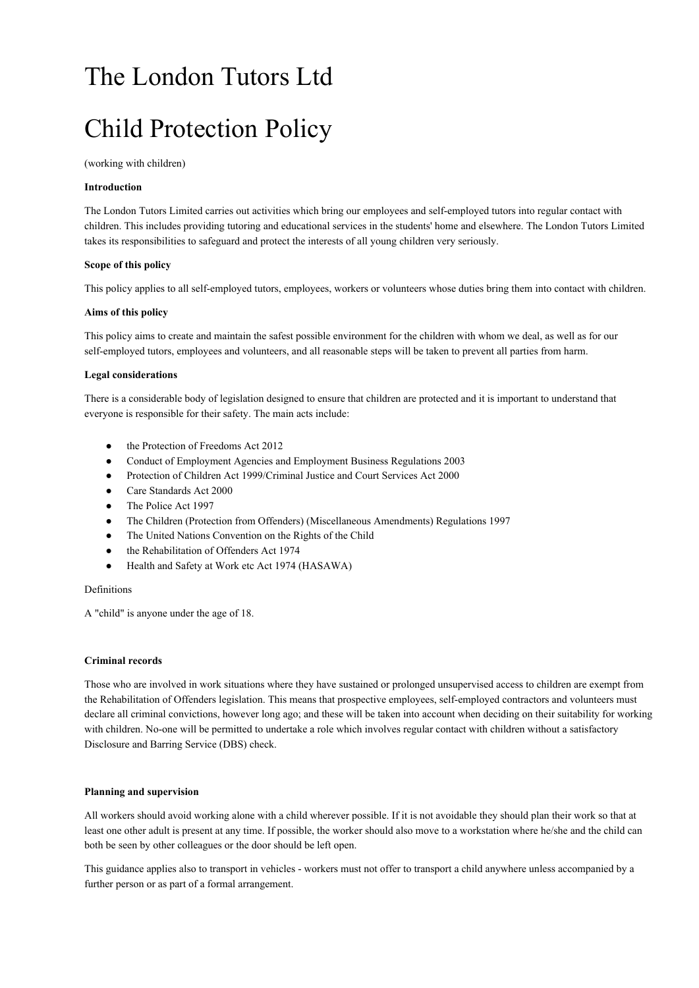# The London Tutors Ltd

# Child Protection Policy

(working with children)

## **Introduction**

The London Tutors Limited carries out activities which bring our employees and self-employed tutors into regular contact with children. This includes providing tutoring and educational services in the students' home and elsewhere. The London Tutors Limited takes its responsibilities to safeguard and protect the interests of all young children very seriously.

## **Scope of this policy**

This policy applies to all self-employed tutors, employees, workers or volunteers whose duties bring them into contact with children.

## **Aims of this policy**

This policy aims to create and maintain the safest possible environment for the children with whom we deal, as well as for our self-employed tutors, employees and volunteers, and all reasonable steps will be taken to prevent all parties from harm.

## **Legal considerations**

There is a considerable body of legislation designed to ensure that children are protected and it is important to understand that everyone is responsible for their safety. The main acts include:

- the Protection of Freedoms Act 2012
- Conduct of Employment Agencies and Employment Business Regulations 2003
- Protection of Children Act 1999/Criminal Justice and Court Services Act 2000
- Care Standards Act 2000
- The Police Act 1997
- The Children (Protection from Offenders) (Miscellaneous Amendments) Regulations 1997
- The United Nations Convention on the Rights of the Child
- the Rehabilitation of Offenders Act 1974
- Health and Safety at Work etc Act 1974 (HASAWA)

## Definitions

A "child" is anyone under the age of 18.

## **Criminal records**

Those who are involved in work situations where they have sustained or prolonged unsupervised access to children are exempt from the Rehabilitation of Offenders legislation. This means that prospective employees, self-employed contractors and volunteers must declare all criminal convictions, however long ago; and these will be taken into account when deciding on their suitability for working with children. No-one will be permitted to undertake a role which involves regular contact with children without a satisfactory Disclosure and Barring Service (DBS) check.

#### **Planning and supervision**

All workers should avoid working alone with a child wherever possible. If it is not avoidable they should plan their work so that at least one other adult is present at any time. If possible, the worker should also move to a workstation where he/she and the child can both be seen by other colleagues or the door should be left open.

This guidance applies also to transport in vehicles - workers must not offer to transport a child anywhere unless accompanied by a further person or as part of a formal arrangement.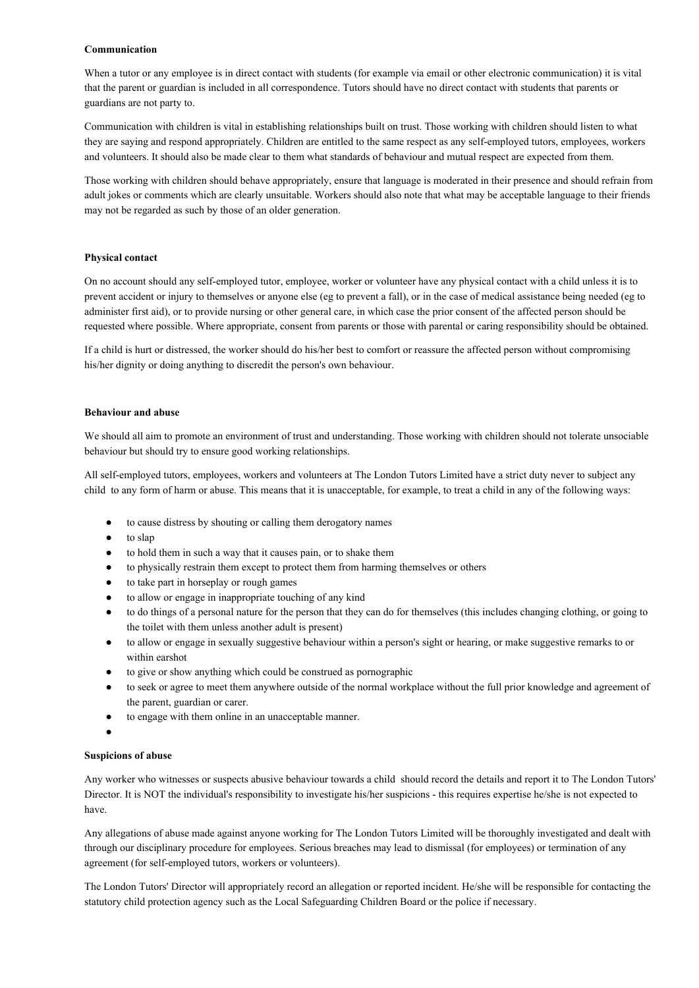## **Communication**

When a tutor or any employee is in direct contact with students (for example via email or other electronic communication) it is vital that the parent or guardian is included in all correspondence. Tutors should have no direct contact with students that parents or guardians are not party to.

Communication with children is vital in establishing relationships built on trust. Those working with children should listen to what they are saying and respond appropriately. Children are entitled to the same respect as any self-employed tutors, employees, workers and volunteers. It should also be made clear to them what standards of behaviour and mutual respect are expected from them.

Those working with children should behave appropriately, ensure that language is moderated in their presence and should refrain from adult jokes or comments which are clearly unsuitable. Workers should also note that what may be acceptable language to their friends may not be regarded as such by those of an older generation.

## **Physical contact**

On no account should any self-employed tutor, employee, worker or volunteer have any physical contact with a child unless it is to prevent accident or injury to themselves or anyone else (eg to prevent a fall), or in the case of medical assistance being needed (eg to administer first aid), or to provide nursing or other general care, in which case the prior consent of the affected person should be requested where possible. Where appropriate, consent from parents or those with parental or caring responsibility should be obtained.

If a child is hurt or distressed, the worker should do his/her best to comfort or reassure the affected person without compromising his/her dignity or doing anything to discredit the person's own behaviour.

### **Behaviour and abuse**

We should all aim to promote an environment of trust and understanding. Those working with children should not tolerate unsociable behaviour but should try to ensure good working relationships.

All self-employed tutors, employees, workers and volunteers at The London Tutors Limited have a strict duty never to subject any child to any form of harm or abuse. This means that it is unacceptable, for example, to treat a child in any of the following ways:

- to cause distress by shouting or calling them derogatory names
- to slap
- to hold them in such a way that it causes pain, or to shake them
- to physically restrain them except to protect them from harming themselves or others
- to take part in horseplay or rough games
- to allow or engage in inappropriate touching of any kind
- to do things of a personal nature for the person that they can do for themselves (this includes changing clothing, or going to the toilet with them unless another adult is present)
- to allow or engage in sexually suggestive behaviour within a person's sight or hearing, or make suggestive remarks to or within earshot
- to give or show anything which could be construed as pornographic
- to seek or agree to meet them anywhere outside of the normal workplace without the full prior knowledge and agreement of the parent, guardian or carer.
- to engage with them online in an unacceptable manner.
- ●

## **Suspicions of abuse**

Any worker who witnesses or suspects abusive behaviour towards a child should record the details and report it to The London Tutors' Director. It is NOT the individual's responsibility to investigate his/her suspicions - this requires expertise he/she is not expected to have.

Any allegations of abuse made against anyone working for The London Tutors Limited will be thoroughly investigated and dealt with through our disciplinary procedure for employees. Serious breaches may lead to dismissal (for employees) or termination of any agreement (for self-employed tutors, workers or volunteers).

The London Tutors' Director will appropriately record an allegation or reported incident. He/she will be responsible for contacting the statutory child protection agency such as the Local Safeguarding Children Board or the police if necessary.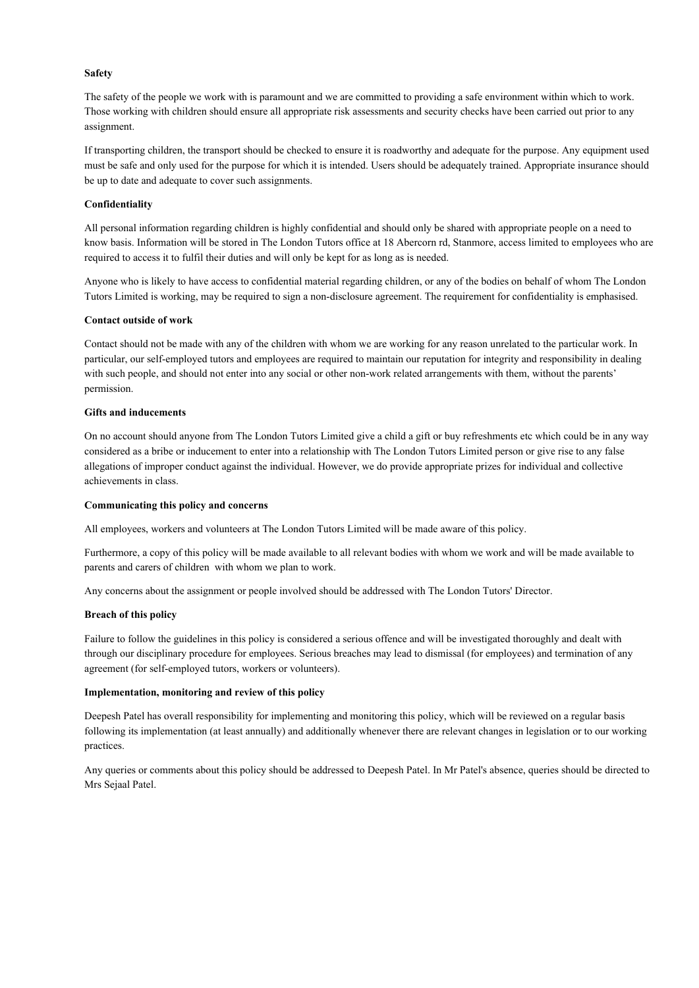## **Safety**

The safety of the people we work with is paramount and we are committed to providing a safe environment within which to work. Those working with children should ensure all appropriate risk assessments and security checks have been carried out prior to any assignment.

If transporting children, the transport should be checked to ensure it is roadworthy and adequate for the purpose. Any equipment used must be safe and only used for the purpose for which it is intended. Users should be adequately trained. Appropriate insurance should be up to date and adequate to cover such assignments.

## **Confidentiality**

All personal information regarding children is highly confidential and should only be shared with appropriate people on a need to know basis. Information will be stored in The London Tutors office at 18 Abercorn rd, Stanmore, access limited to employees who are required to access it to fulfil their duties and will only be kept for as long as is needed.

Anyone who is likely to have access to confidential material regarding children, or any of the bodies on behalf of whom The London Tutors Limited is working, may be required to sign a non-disclosure agreement. The requirement for confidentiality is emphasised.

## **Contact outside of work**

Contact should not be made with any of the children with whom we are working for any reason unrelated to the particular work. In particular, our self-employed tutors and employees are required to maintain our reputation for integrity and responsibility in dealing with such people, and should not enter into any social or other non-work related arrangements with them, without the parents' permission.

## **Gifts and inducements**

On no account should anyone from The London Tutors Limited give a child a gift or buy refreshments etc which could be in any way considered as a bribe or inducement to enter into a relationship with The London Tutors Limited person or give rise to any false allegations of improper conduct against the individual. However, we do provide appropriate prizes for individual and collective achievements in class.

#### **Communicating this policy and concerns**

All employees, workers and volunteers at The London Tutors Limited will be made aware of this policy.

Furthermore, a copy of this policy will be made available to all relevant bodies with whom we work and will be made available to parents and carers of children with whom we plan to work.

Any concerns about the assignment or people involved should be addressed with The London Tutors' Director.

#### **Breach of this policy**

Failure to follow the guidelines in this policy is considered a serious offence and will be investigated thoroughly and dealt with through our disciplinary procedure for employees. Serious breaches may lead to dismissal (for employees) and termination of any agreement (for self-employed tutors, workers or volunteers).

#### **Implementation, monitoring and review of this policy**

Deepesh Patel has overall responsibility for implementing and monitoring this policy, which will be reviewed on a regular basis following its implementation (at least annually) and additionally whenever there are relevant changes in legislation or to our working practices.

Any queries or comments about this policy should be addressed to Deepesh Patel. In Mr Patel's absence, queries should be directed to Mrs Sejaal Patel.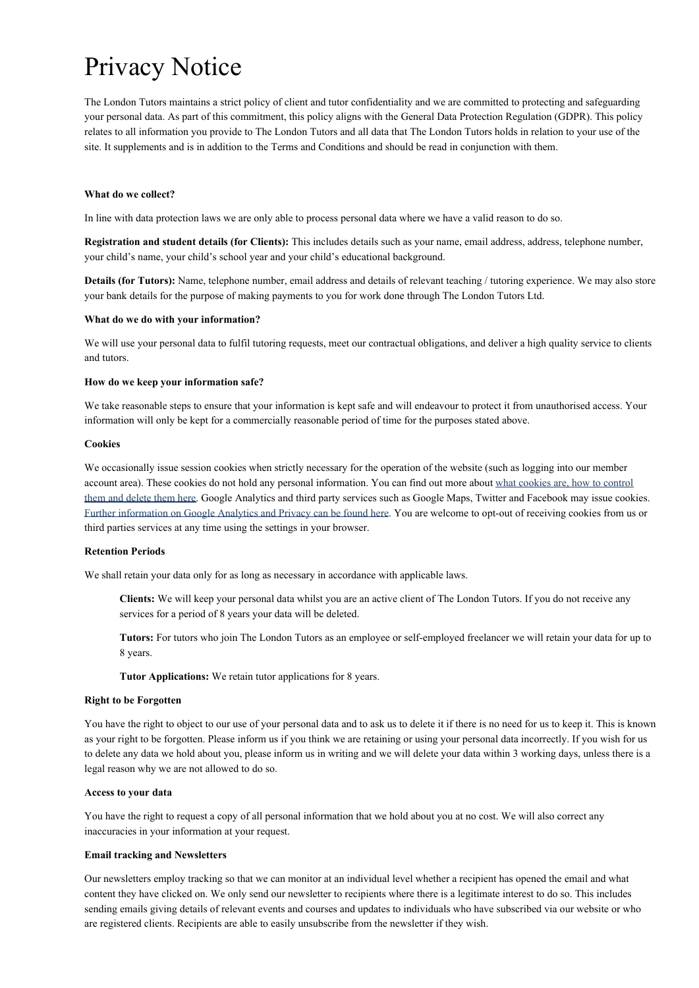# Privacy Notice

The London Tutors maintains a strict policy of client and tutor confidentiality and we are committed to protecting and safeguarding your personal data. As part of this commitment, this policy aligns with the General Data Protection Regulation (GDPR). This policy relates to all information you provide to The London Tutors and all data that The London Tutors holds in relation to your use of the site. It supplements and is in addition to the Terms and Conditions and should be read in conjunction with them.

## **What do we collect?**

In line with data protection laws we are only able to process personal data where we have a valid reason to do so.

**Registration and student details (for Clients):** This includes details such as your name, email address, address, telephone number, your child's name, your child's school year and your child's educational background.

**Details (for Tutors):** Name, telephone number, email address and details of relevant teaching / tutoring experience. We may also store your bank details for the purpose of making payments to you for work done through The London Tutors Ltd.

## **What do we do with your information?**

We will use your personal data to fulfil tutoring requests, meet our contractual obligations, and deliver a high quality service to clients and tutors.

## **How do we keep your information safe?**

We take reasonable steps to ensure that your information is kept safe and will endeavour to protect it from unauthorised access. Your information will only be kept for a commercially reasonable period of time for the purposes stated above.

#### **Cookies**

We occasionally issue session cookies when strictly necessary for the operation of the website (such as logging into our member account area). These cookies do not hold any personal information. You can find out more about [what cookies are, how to control](http://www.aboutcookies.org/) [them and delete them here](http://www.aboutcookies.org/). Google Analytics and third party services such as Google Maps, Twitter and Facebook may issue cookies. [Further information on Google Analytics and Privacy can be found here.](http://www.google.co.uk/intl/en/analytics/privacyoverview.html) You are welcome to opt-out of receiving cookies from us or third parties services at any time using the settings in your browser.

## **Retention Periods**

We shall retain your data only for as long as necessary in accordance with applicable laws.

**Clients:** We will keep your personal data whilst you are an active client of The London Tutors. If you do not receive any services for a period of 8 years your data will be deleted.

**Tutors:** For tutors who join The London Tutors as an employee or self-employed freelancer we will retain your data for up to 8 years.

**Tutor Applications:** We retain tutor applications for 8 years.

#### **Right to be Forgotten**

You have the right to object to our use of your personal data and to ask us to delete it if there is no need for us to keep it. This is known as your right to be forgotten. Please inform us if you think we are retaining or using your personal data incorrectly. If you wish for us to delete any data we hold about you, please inform us in writing and we will delete your data within 3 working days, unless there is a legal reason why we are not allowed to do so.

## **Access to your data**

You have the right to request a copy of all personal information that we hold about you at no cost. We will also correct any inaccuracies in your information at your request.

## **Email tracking and Newsletters**

Our newsletters employ tracking so that we can monitor at an individual level whether a recipient has opened the email and what content they have clicked on. We only send our newsletter to recipients where there is a legitimate interest to do so. This includes sending emails giving details of relevant events and courses and updates to individuals who have subscribed via our website or who are registered clients. Recipients are able to easily unsubscribe from the newsletter if they wish.